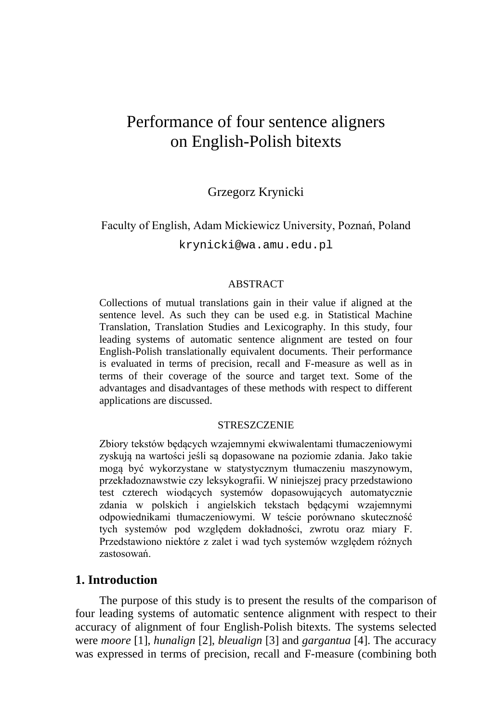# Performance of four sentence aligners on English-Polish bitexts

## Grzegorz Krynicki

# Faculty of English, Adam Mickiewicz University, Poznań, Poland krynicki@wa.amu.edu.pl

#### ABSTRACT

Collections of mutual translations gain in their value if aligned at the sentence level. As such they can be used e.g. in Statistical Machine Translation, Translation Studies and Lexicography. In this study, four leading systems of automatic sentence alignment are tested on four English-Polish translationally equivalent documents. Their performance is evaluated in terms of precision, recall and F-measure as well as in terms of their coverage of the source and target text. Some of the advantages and disadvantages of these methods with respect to different applications are discussed.

#### **STRESZCZENIE**

Zbiory tekstów będących wzajemnymi ekwiwalentami tłumaczeniowymi zyskują na wartości jeśli są dopasowane na poziomie zdania. Jako takie mogą być wykorzystane w statystycznym tłumaczeniu maszynowym, przekładoznawstwie czy leksykografii. W niniejszej pracy przedstawiono test czterech wiodących systemów dopasowujących automatycznie zdania w polskich i angielskich tekstach będącymi wzajemnymi odpowiednikami tłumaczeniowymi. W teście porównano skuteczność tych systemów pod względem dokładności, zwrotu oraz miary F. Przedstawiono niektóre z zalet i wad tych systemów względem różnych zastosowań.

### **1. Introduction**

<span id="page-0-0"></span>The purpose of this study is to present the results of the comparison of four leading systems of automatic sentence alignment with respect to their accuracy of alignment of four English-Polish bitexts. The systems selected were *moore* [1], *hunalign* [2], *bleualign* [3] and *gargantua* [4]. The accuracy was expressed in terms of precision, recall and F-measure (combining both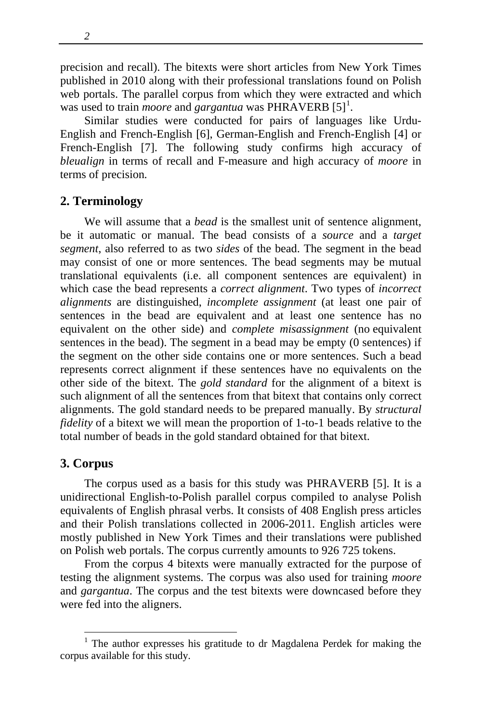*2*

precision and recall). The bitexts were short articles from New York Times published in 2010 along with their professional translations found on Polish web portals. The parallel corpus from which they were extracted and which was used to train *moore* and *gargantua* was PHRAVERB [5]<sup>[1](#page-0-0)</sup>.

Similar studies were conducted for pairs of languages like Urdu-English and French-English [6], German-English and French-English [4] or French-English [7]. The following study confirms high accuracy of *bleualign* in terms of recall and F-measure and high accuracy of *moore* in terms of precision*.*

# **2. Terminology**

We will assume that a *bead* is the smallest unit of sentence alignment, be it automatic or manual. The bead consists of a *source* and a *target segment*, also referred to as two *sides* of the bead. The segment in the bead may consist of one or more sentences. The bead segments may be mutual translational equivalents (i.e. all component sentences are equivalent) in which case the bead represents a *correct alignment*. Two types of *incorrect alignments* are distinguished, *incomplete assignment* (at least one pair of sentences in the bead are equivalent and at least one sentence has no equivalent on the other side) and *complete misassignment* (no equivalent sentences in the bead). The segment in a bead may be empty (0 sentences) if the segment on the other side contains one or more sentences. Such a bead represents correct alignment if these sentences have no equivalents on the other side of the bitext. The *gold standard* for the alignment of a bitext is such alignment of all the sentences from that bitext that contains only correct alignments. The gold standard needs to be prepared manually. By *structural fidelity* of a bitext we will mean the proportion of 1-to-1 beads relative to the total number of beads in the gold standard obtained for that bitext.

## **3. Corpus**

The corpus used as a basis for this study was PHRAVERB [5]. It is a unidirectional English-to-Polish parallel corpus compiled to analyse Polish equivalents of English phrasal verbs. It consists of 408 English press articles and their Polish translations collected in 2006-2011. English articles were mostly published in New York Times and their translations were published on Polish web portals. The corpus currently amounts to 926 725 tokens.

From the corpus 4 bitexts were manually extracted for the purpose of testing the alignment systems. The corpus was also used for training *moore* and *gargantua*. The corpus and the test bitexts were downcased before they were fed into the aligners.

 <sup>1</sup> The author expresses his gratitude to dr Magdalena Perdek for making the corpus available for this study.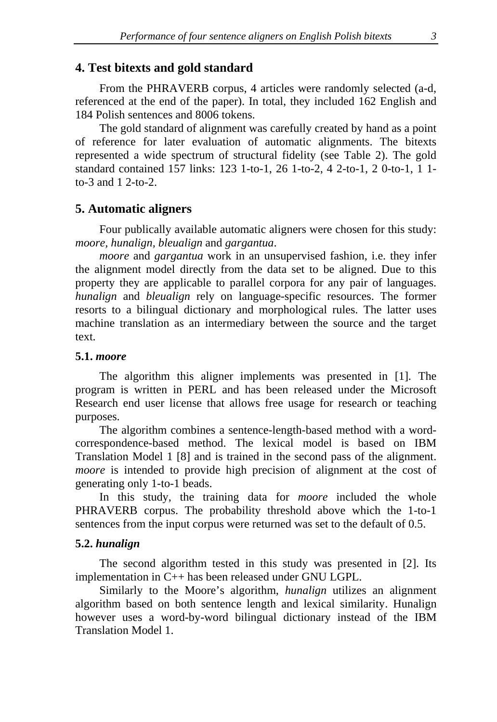### **4. Test bitexts and gold standard**

From the PHRAVERB corpus, 4 articles were randomly selected (a-d, referenced at the end of the paper). In total, they included 162 English and 184 Polish sentences and 8006 tokens.

The gold standard of alignment was carefully created by hand as a point of reference for later evaluation of automatic alignments. The bitexts represented a wide spectrum of structural fidelity (see Table 2). The gold standard contained 157 links: 123 1-to-1, 26 1-to-2, 4 2-to-1, 2 0-to-1, 1 1 to-3 and 1 2-to-2.

## **5. Automatic aligners**

Four publically available automatic aligners were chosen for this study: *moore, hunalign, bleualign* and *gargantua*.

*moore* and *gargantua* work in an unsupervised fashion, i.e. they infer the alignment model directly from the data set to be aligned. Due to this property they are applicable to parallel corpora for any pair of languages. *hunalign* and *bleualign* rely on language-specific resources. The former resorts to a bilingual dictionary and morphological rules. The latter uses machine translation as an intermediary between the source and the target text.

#### **5.1.** *moore*

The algorithm this aligner implements was presented in [1]. The program is written in PERL and has been released under the Microsoft Research end user license that allows free usage for research or teaching purposes.

The algorithm combines a sentence-length-based method with a wordcorrespondence-based method. The lexical model is based on IBM Translation Model 1 [8] and is trained in the second pass of the alignment. *moore* is intended to provide high precision of alignment at the cost of generating only 1-to-1 beads.

In this study, the training data for *moore* included the whole PHRAVERB corpus. The probability threshold above which the 1-to-1 sentences from the input corpus were returned was set to the default of 0.5.

#### **5.2.** *hunalign*

The second algorithm tested in this study was presented in [2]. Its implementation in C++ has been released under GNU LGPL.

Similarly to the Moore's algorithm, *hunalign* utilizes an alignment algorithm based on both sentence length and lexical similarity. Hunalign however uses a word-by-word bilingual dictionary instead of the IBM Translation Model 1.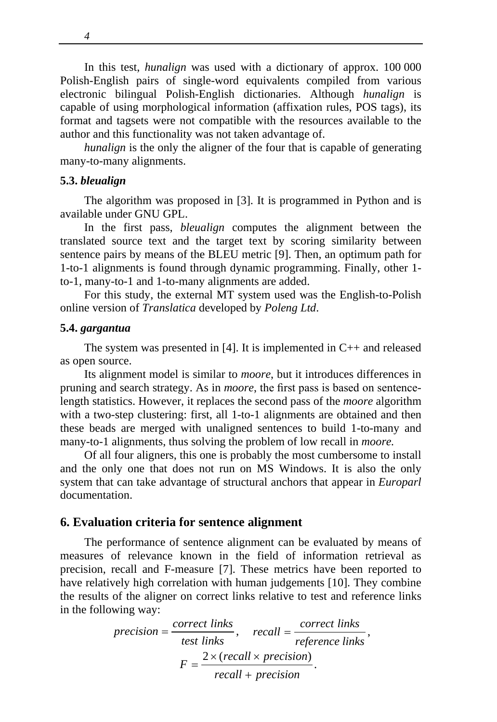In this test, *hunalign* was used with a dictionary of approx. 100 000 Polish-English pairs of single-word equivalents compiled from various electronic bilingual Polish-English dictionaries. Although *hunalign* is capable of using morphological information (affixation rules, POS tags), its format and tagsets were not compatible with the resources available to the author and this functionality was not taken advantage of.

*hunalign* is the only the aligner of the four that is capable of generating many-to-many alignments.

#### **5.3.** *bleualign*

The algorithm was proposed in [3]. It is programmed in Python and is available under GNU GPL.

In the first pass, *bleualign* computes the alignment between the translated source text and the target text by scoring similarity between sentence pairs by means of the BLEU metric [9]. Then, an optimum path for 1-to-1 alignments is found through dynamic programming. Finally, other 1 to-1, many-to-1 and 1-to-many alignments are added.

For this study, the external MT system used was the English-to-Polish online version of *Translatica* developed by *Poleng Ltd*.

#### **5.4.** *gargantua*

The system was presented in  $[4]$ . It is implemented in  $C_{++}$  and released as open source.

Its alignment model is similar to *moore*, but it introduces differences in pruning and search strategy. As in *moore*, the first pass is based on sentencelength statistics. However, it replaces the second pass of the *moore* algorithm with a two-step clustering: first, all 1-to-1 alignments are obtained and then these beads are merged with unaligned sentences to build 1-to-many and many-to-1 alignments, thus solving the problem of low recall in *moore.*

Of all four aligners, this one is probably the most cumbersome to install and the only one that does not run on MS Windows. It is also the only system that can take advantage of structural anchors that appear in *Europarl* documentation.

## **6. Evaluation criteria for sentence alignment**

The performance of sentence alignment can be evaluated by means of measures of relevance known in the field of information retrieval as precision, recall and F-measure [7]. These metrics have been reported to have relatively high correlation with human judgements [10]. They combine the results of the aligner on correct links relative to test and reference links in the following way:

$$
precision = \frac{correct\ links}{test\ links}, \quad recall = \frac{correct\ links}{reference\ links},
$$

$$
F = \frac{2 \times (recall \times precision)}{recall + precision}.
$$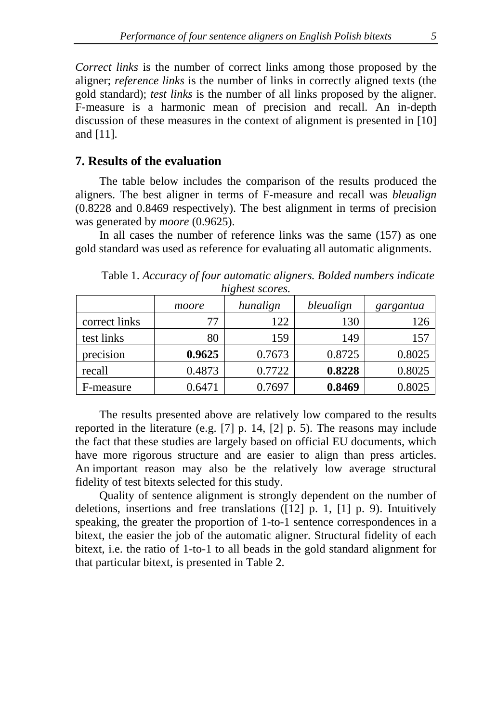*Correct links* is the number of correct links among those proposed by the aligner; *reference links* is the number of links in correctly aligned texts (the gold standard); *test links* is the number of all links proposed by the aligner. F-measure is a harmonic mean of precision and recall. An in-depth discussion of these measures in the context of alignment is presented in [10] and [11].

### **7. Results of the evaluation**

The table below includes the comparison of the results produced the aligners. The best aligner in terms of F-measure and recall was *bleualign* (0.8228 and 0.8469 respectively). The best alignment in terms of precision was generated by *moore* (0.9625).

In all cases the number of reference links was the same (157) as one gold standard was used as reference for evaluating all automatic alignments.

| <i>Regivest SCOTES.</i> |        |          |           |           |  |  |
|-------------------------|--------|----------|-----------|-----------|--|--|
|                         | moore  | hunalign | bleualign | gargantua |  |  |
| correct links           | 77     | 122      | 130       | 126       |  |  |
| test links              | 80     | 159      | 149       | 157       |  |  |
| precision               | 0.9625 | 0.7673   | 0.8725    | 0.8025    |  |  |
| recall                  | 0.4873 | 0.7722   | 0.8228    | 0.8025    |  |  |
| F-measure               | 0.6471 | 0.7697   | 0.8469    | 0.8025    |  |  |

Table 1. *Accuracy of four automatic aligners. Bolded numbers indicate highest scores.*

The results presented above are relatively low compared to the results reported in the literature (e.g. [7] p. 14, [2] p. 5). The reasons may include the fact that these studies are largely based on official EU documents, which have more rigorous structure and are easier to align than press articles. An important reason may also be the relatively low average structural fidelity of test bitexts selected for this study.

Quality of sentence alignment is strongly dependent on the number of deletions, insertions and free translations ([12] p. 1, [1] p. 9). Intuitively speaking, the greater the proportion of 1-to-1 sentence correspondences in a bitext, the easier the job of the automatic aligner. Structural fidelity of each bitext, i.e. the ratio of 1-to-1 to all beads in the gold standard alignment for that particular bitext, is presented in Table 2.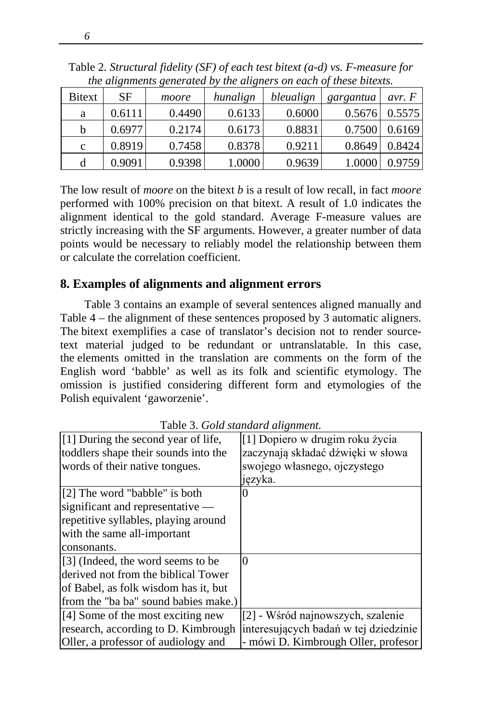|               | the auxiliarius xenerated by the auxiliars on each of these buckles. |        |          |           |           |          |
|---------------|----------------------------------------------------------------------|--------|----------|-----------|-----------|----------|
| <b>Bitext</b> | SF                                                                   | moore  | hunalign | bleualign | gargantua | avr. $F$ |
| a             | 0.6111                                                               | 0.4490 | 0.6133   | 0.6000    | 0.5676    | 0.5575   |
| b             | 0.6977                                                               | 0.2174 | 0.6173   | 0.8831    | 0.7500    | 0.6169   |
| $\mathbf c$   | 0.8919                                                               | 0.7458 | 0.8378   | 0.9211    | 0.8649    | 0.8424   |
| d             | 0.9091                                                               | 0.9398 | 1.0000   | 0.9639    | 1.0000    | 0.9759   |

Table 2. *Structural fidelity (SF) of each test bitext (a-d) vs. F-measure for the alignments generated by the aligners on each of these bitexts.*

The low result of *moore* on the bitext *b* is a result of low recall, in fact *moore*  performed with 100% precision on that bitext. A result of 1.0 indicates the alignment identical to the gold standard. Average F-measure values are strictly increasing with the SF arguments. However, a greater number of data points would be necessary to reliably model the relationship between them or calculate the correlation coefficient.

## **8. Examples of alignments and alignment errors**

Table 3 contains an example of several sentences aligned manually and Table 4 – the alignment of these sentences proposed by 3 automatic aligners. The bitext exemplifies a case of translator's decision not to render sourcetext material judged to be redundant or untranslatable. In this case, the elements omitted in the translation are comments on the form of the English word 'babble' as well as its folk and scientific etymology. The omission is justified considering different form and etymologies of the Polish equivalent 'gaworzenie'.

| [1] During the second year of life,       | [1] Dopiero w drugim roku życia       |
|-------------------------------------------|---------------------------------------|
| toddlers shape their sounds into the      | zaczynają składać dźwięki w słowa     |
| words of their native tongues.            | swojego własnego, ojczystego          |
|                                           | języka.                               |
| [2] The word "babble" is both             | 0                                     |
| significant and representative $-$        |                                       |
| repetitive syllables, playing around      |                                       |
| with the same all-important               |                                       |
| consonants.                               |                                       |
| [3] (Indeed, the word seems to be         | 0                                     |
| derived not from the biblical Tower       |                                       |
| of Babel, as folk wisdom has it, but      |                                       |
| from the "ba ba" sound babies make.)      |                                       |
| $\vert$ [4] Some of the most exciting new | [2] - Wśród najnowszych, szalenie     |
| research, according to D. Kimbrough       | interesujących badań w tej dziedzinie |
| Oller, a professor of audiology and       | - mówi D. Kimbrough Oller, profesor   |

Table 3. *Gold standard alignment.*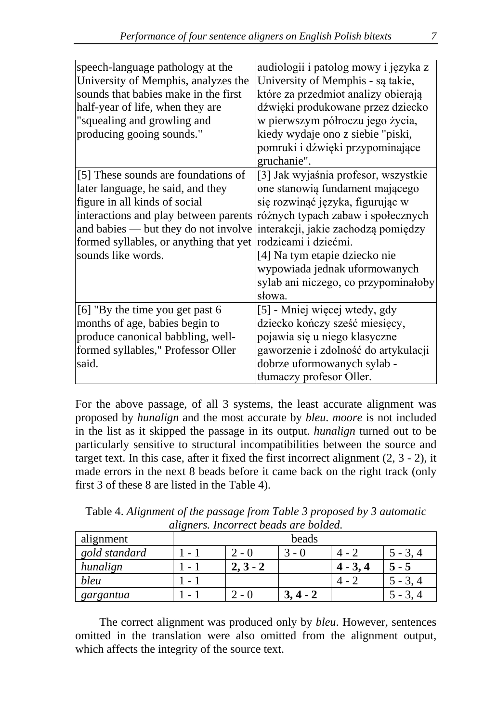| speech-language pathology at the<br>University of Memphis, analyzes the<br>sounds that babies make in the first<br>half-year of life, when they are<br>"squealing and growling and<br>producing gooing sounds."                                            | audiologii i patolog mowy i języka z<br>University of Memphis - są takie,<br>które za przedmiot analizy obierają<br>dźwięki produkowane przez dziecko<br>w pierwszym półroczu jego życia,<br>kiedy wydaje ono z siebie "piski,<br>pomruki i dźwięki przypominające<br>gruchanie".                                                    |
|------------------------------------------------------------------------------------------------------------------------------------------------------------------------------------------------------------------------------------------------------------|--------------------------------------------------------------------------------------------------------------------------------------------------------------------------------------------------------------------------------------------------------------------------------------------------------------------------------------|
| [5] These sounds are foundations of<br>later language, he said, and they<br>figure in all kinds of social<br>interactions and play between parents<br>and babies — but they do not involve<br>formed syllables, or anything that yet<br>sounds like words. | [3] Jak wyjaśnia profesor, wszystkie<br>one stanowią fundament mającego<br>się rozwinąć języka, figurując w<br>różnych typach zabaw i społecznych<br>interakcji, jakie zachodzą pomiędzy<br>rodzicami i dziećmi.<br>[4] Na tym etapie dziecko nie<br>wypowiada jednak uformowanych<br>sylab ani niczego, co przypominałoby<br>słowa. |
| [6] "By the time you get past 6<br>months of age, babies begin to<br>produce canonical babbling, well-<br>formed syllables," Professor Oller<br>said.                                                                                                      | [5] - Mniej więcej wtedy, gdy<br>dziecko kończy sześć miesięcy,<br>pojawia się u niego klasyczne<br>gaworzenie i zdolność do artykulacji<br>dobrze uformowanych sylab -<br>tłumaczy profesor Oller.                                                                                                                                  |

For the above passage, of all 3 systems, the least accurate alignment was proposed by *hunalign* and the most accurate by *bleu*. *moore* is not included in the list as it skipped the passage in its output. *hunalign* turned out to be particularly sensitive to structural incompatibilities between the source and target text. In this case, after it fixed the first incorrect alignment (2, 3 - 2), it made errors in the next 8 beads before it came back on the right track (only first 3 of these 8 are listed in the Table 4).

Table 4. *Alignment of the passage from Table 3 proposed by 3 automatic aligners. Incorrect beads are bolded.*

| alignment     | beads                    |                                          |    |            |       |
|---------------|--------------------------|------------------------------------------|----|------------|-------|
| gold standard |                          | $2 - 0$                                  | -  |            | $-3.$ |
| hunalign      |                          | $3 - 2$                                  |    | $4 - 3, 4$ | - 5   |
| bleu          | $\overline{\phantom{0}}$ |                                          |    |            |       |
| gargantua     |                          | $\mathbf{U}$<br>$\overline{\phantom{a}}$ | J. |            |       |

The correct alignment was produced only by *bleu*. However, sentences omitted in the translation were also omitted from the alignment output, which affects the integrity of the source text.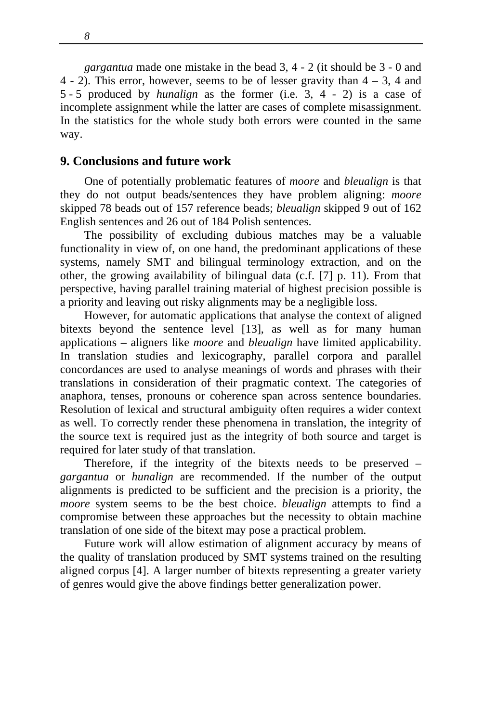*gargantua* made one mistake in the bead 3, 4 - 2 (it should be 3 - 0 and 4 - 2). This error, however, seems to be of lesser gravity than  $4 - 3$ , 4 and 5 - 5 produced by *hunalign* as the former (i.e. 3, 4 - 2) is a case of incomplete assignment while the latter are cases of complete misassignment. In the statistics for the whole study both errors were counted in the same way.

#### **9. Conclusions and future work**

One of potentially problematic features of *moore* and *bleualign* is that they do not output beads/sentences they have problem aligning: *moore* skipped 78 beads out of 157 reference beads; *bleualign* skipped 9 out of 162 English sentences and 26 out of 184 Polish sentences.

The possibility of excluding dubious matches may be a valuable functionality in view of, on one hand, the predominant applications of these systems, namely SMT and bilingual terminology extraction, and on the other, the growing availability of bilingual data (c.f. [7] p. 11). From that perspective, having parallel training material of highest precision possible is a priority and leaving out risky alignments may be a negligible loss.

However, for automatic applications that analyse the context of aligned bitexts beyond the sentence level [13], as well as for many human applications – aligners like *moore* and *bleualign* have limited applicability. In translation studies and lexicography, parallel corpora and parallel concordances are used to analyse meanings of words and phrases with their translations in consideration of their pragmatic context. The categories of anaphora, tenses, pronouns or coherence span across sentence boundaries. Resolution of lexical and structural ambiguity often requires a wider context as well. To correctly render these phenomena in translation, the integrity of the source text is required just as the integrity of both source and target is required for later study of that translation.

Therefore, if the integrity of the bitexts needs to be preserved – *gargantua* or *hunalign* are recommended. If the number of the output alignments is predicted to be sufficient and the precision is a priority, the *moore* system seems to be the best choice. *bleualign* attempts to find a compromise between these approaches but the necessity to obtain machine translation of one side of the bitext may pose a practical problem.

Future work will allow estimation of alignment accuracy by means of the quality of translation produced by SMT systems trained on the resulting aligned corpus [4]. A larger number of bitexts representing a greater variety of genres would give the above findings better generalization power.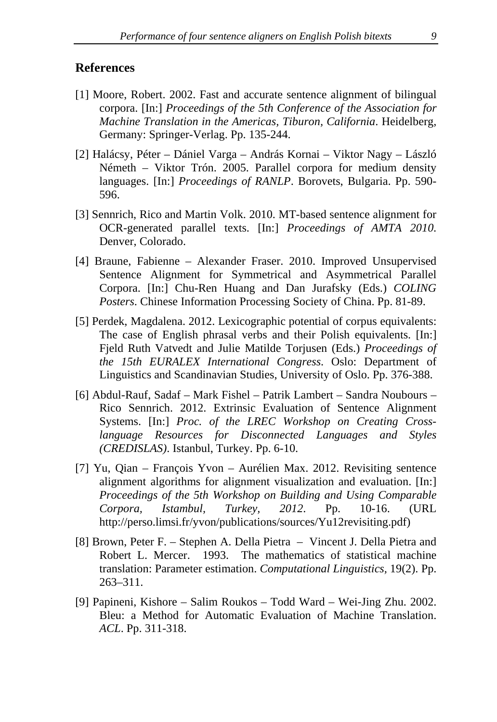#### **References**

- [1] Moore, Robert. 2002. Fast and accurate sentence alignment of bilingual corpora. [In:] *Proceedings of the 5th Conference of the Association for Machine Translation in the Americas, Tiburon, California*. Heidelberg, Germany: Springer-Verlag. Pp. 135-244.
- [2] Halácsy, Péter Dániel Varga András Kornai Viktor Nagy László Németh – Viktor Trón. 2005. Parallel corpora for medium density languages. [In:] *Proceedings of RANLP*. Borovets, Bulgaria. Pp. 590- 596.
- [3] Sennrich, Rico and Martin Volk. 2010. MT-based sentence alignment for OCR-generated parallel texts. [In:] *Proceedings of AMTA 2010*. Denver, Colorado.
- [4] Braune, Fabienne Alexander Fraser. 2010. Improved Unsupervised Sentence Alignment for Symmetrical and Asymmetrical Parallel Corpora. [In:] Chu-Ren Huang and Dan Jurafsky (Eds.) *COLING Posters*. Chinese Information Processing Society of China. Pp. 81-89.
- [5] Perdek, Magdalena. 2012. Lexicographic potential of corpus equivalents: The case of English phrasal verbs and their Polish equivalents. [In:] Fjeld Ruth Vatvedt and Julie Matilde Torjusen (Eds.) *Proceedings of the 15th EURALEX International Congress*. Oslo: Department of Linguistics and Scandinavian Studies, University of Oslo. Pp. 376-388.
- [6] Abdul-Rauf, Sadaf Mark Fishel Patrik Lambert Sandra Noubours Rico Sennrich. 2012. Extrinsic Evaluation of Sentence Alignment Systems. [In:] *Proc. of the LREC Workshop on Creating Crosslanguage Resources for Disconnected Languages and Styles (CREDISLAS)*. Istanbul, Turkey. Pp. 6-10.
- [7] Yu, Qian François Yvon Aurélien Max. 2012. Revisiting sentence alignment algorithms for alignment visualization and evaluation. [In:] *Proceedings of the 5th Workshop on Building and Using Comparable Corpora, Istambul, Turkey, 2012*. Pp. 10-16. (URL http://perso.limsi.fr/yvon/publications/sources/Yu12revisiting.pdf)
- [8] Brown, Peter F. Stephen A. Della Pietra Vincent J. Della Pietra and Robert L. Mercer. 1993. The mathematics of statistical machine translation: Parameter estimation. *Computational Linguistics,* 19(2). Pp. 263–311.
- [9] Papineni, Kishore Salim Roukos Todd Ward Wei-Jing Zhu. 2002. Bleu: a Method for Automatic Evaluation of Machine Translation. *ACL*. Pp. 311-318.